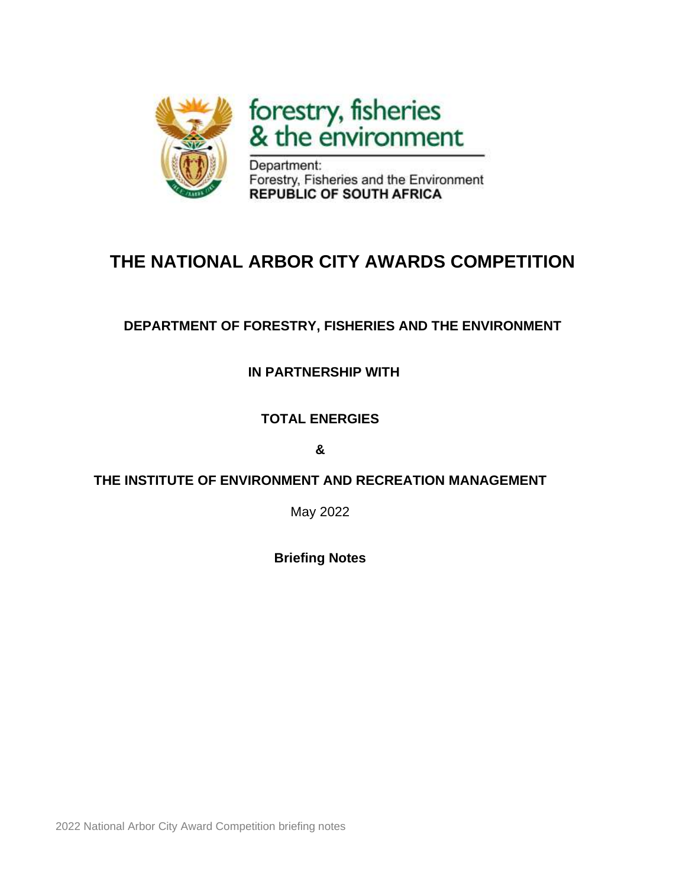

forestry, fisheries<br>& the environment

Department: Forestry, Fisheries and the Environment **REPUBLIC OF SOUTH AFRICA** 

# **THE NATIONAL ARBOR CITY AWARDS COMPETITION**

## **DEPARTMENT OF FORESTRY, FISHERIES AND THE ENVIRONMENT**

## **IN PARTNERSHIP WITH**

## **TOTAL ENERGIES**

### **&**

## **THE INSTITUTE OF ENVIRONMENT AND RECREATION MANAGEMENT**

May 2022

**Briefing Notes**

2022 National Arbor City Award Competition briefing notes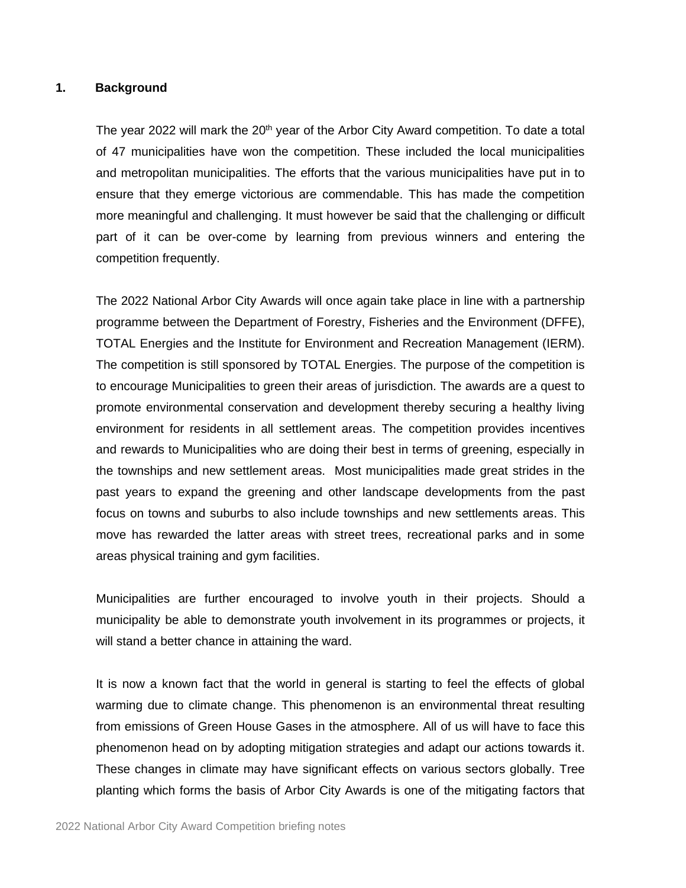#### **1. Background**

The year 2022 will mark the  $20<sup>th</sup>$  year of the Arbor City Award competition. To date a total of 47 municipalities have won the competition. These included the local municipalities and metropolitan municipalities. The efforts that the various municipalities have put in to ensure that they emerge victorious are commendable. This has made the competition more meaningful and challenging. It must however be said that the challenging or difficult part of it can be over-come by learning from previous winners and entering the competition frequently.

The 2022 National Arbor City Awards will once again take place in line with a partnership programme between the Department of Forestry, Fisheries and the Environment (DFFE), TOTAL Energies and the Institute for Environment and Recreation Management (IERM). The competition is still sponsored by TOTAL Energies. The purpose of the competition is to encourage Municipalities to green their areas of jurisdiction. The awards are a quest to promote environmental conservation and development thereby securing a healthy living environment for residents in all settlement areas. The competition provides incentives and rewards to Municipalities who are doing their best in terms of greening, especially in the townships and new settlement areas. Most municipalities made great strides in the past years to expand the greening and other landscape developments from the past focus on towns and suburbs to also include townships and new settlements areas. This move has rewarded the latter areas with street trees, recreational parks and in some areas physical training and gym facilities.

Municipalities are further encouraged to involve youth in their projects. Should a municipality be able to demonstrate youth involvement in its programmes or projects, it will stand a better chance in attaining the ward.

It is now a known fact that the world in general is starting to feel the effects of global warming due to climate change. This phenomenon is an environmental threat resulting from emissions of Green House Gases in the atmosphere. All of us will have to face this phenomenon head on by adopting mitigation strategies and adapt our actions towards it. These changes in climate may have significant effects on various sectors globally. Tree planting which forms the basis of Arbor City Awards is one of the mitigating factors that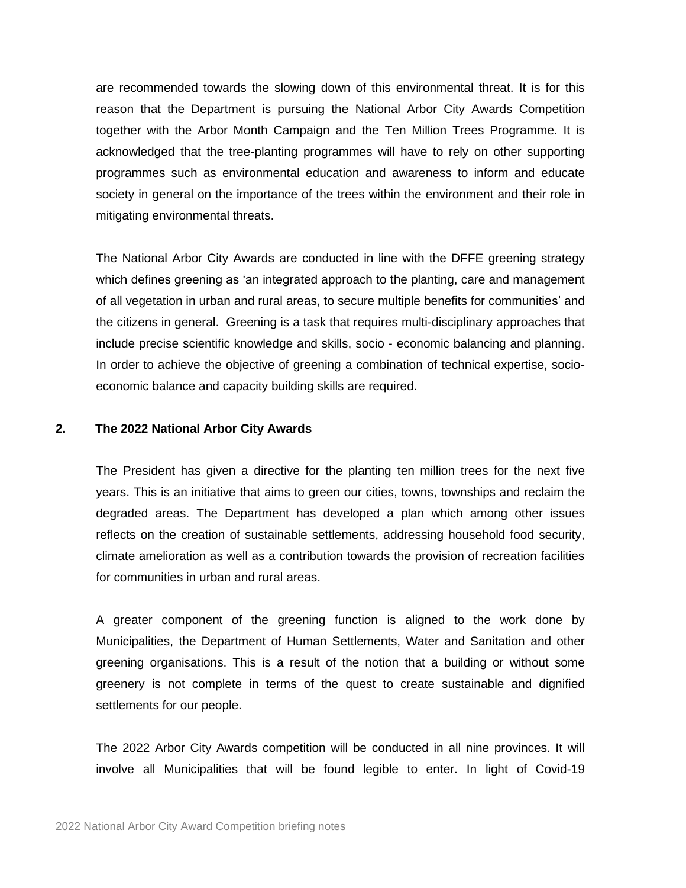are recommended towards the slowing down of this environmental threat. It is for this reason that the Department is pursuing the National Arbor City Awards Competition together with the Arbor Month Campaign and the Ten Million Trees Programme. It is acknowledged that the tree-planting programmes will have to rely on other supporting programmes such as environmental education and awareness to inform and educate society in general on the importance of the trees within the environment and their role in mitigating environmental threats.

The National Arbor City Awards are conducted in line with the DFFE greening strategy which defines greening as 'an integrated approach to the planting, care and management of all vegetation in urban and rural areas, to secure multiple benefits for communities' and the citizens in general. Greening is a task that requires multi-disciplinary approaches that include precise scientific knowledge and skills, socio - economic balancing and planning. In order to achieve the objective of greening a combination of technical expertise, socioeconomic balance and capacity building skills are required.

#### **2. The 2022 National Arbor City Awards**

The President has given a directive for the planting ten million trees for the next five years. This is an initiative that aims to green our cities, towns, townships and reclaim the degraded areas. The Department has developed a plan which among other issues reflects on the creation of sustainable settlements, addressing household food security, climate amelioration as well as a contribution towards the provision of recreation facilities for communities in urban and rural areas.

A greater component of the greening function is aligned to the work done by Municipalities, the Department of Human Settlements, Water and Sanitation and other greening organisations. This is a result of the notion that a building or without some greenery is not complete in terms of the quest to create sustainable and dignified settlements for our people.

The 2022 Arbor City Awards competition will be conducted in all nine provinces. It will involve all Municipalities that will be found legible to enter. In light of Covid-19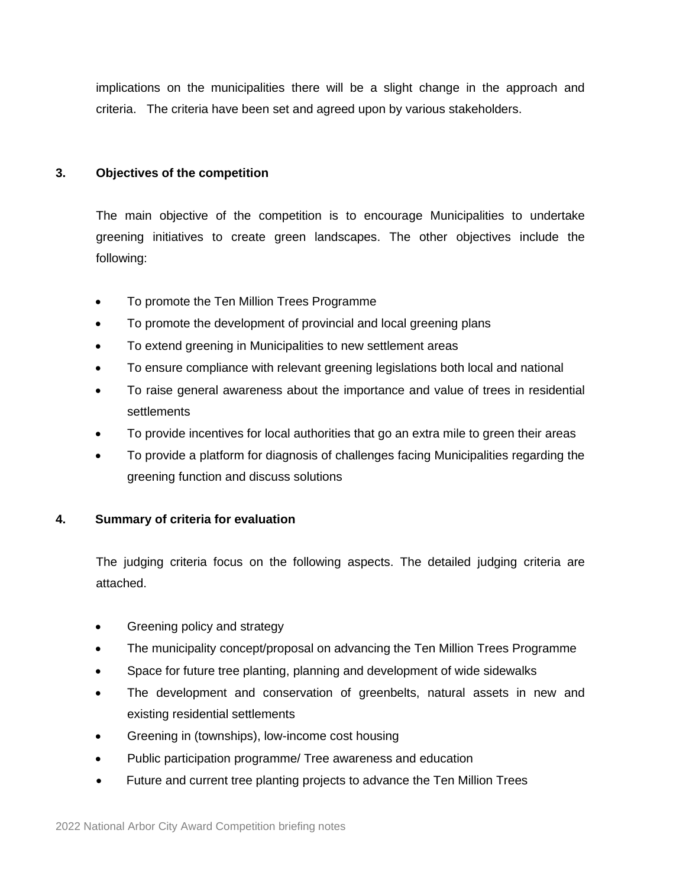implications on the municipalities there will be a slight change in the approach and criteria. The criteria have been set and agreed upon by various stakeholders.

#### **3. Objectives of the competition**

The main objective of the competition is to encourage Municipalities to undertake greening initiatives to create green landscapes. The other objectives include the following:

- To promote the Ten Million Trees Programme
- To promote the development of provincial and local greening plans
- To extend greening in Municipalities to new settlement areas
- To ensure compliance with relevant greening legislations both local and national
- To raise general awareness about the importance and value of trees in residential settlements
- To provide incentives for local authorities that go an extra mile to green their areas
- To provide a platform for diagnosis of challenges facing Municipalities regarding the greening function and discuss solutions

#### **4. Summary of criteria for evaluation**

The judging criteria focus on the following aspects. The detailed judging criteria are attached.

- Greening policy and strategy
- The municipality concept/proposal on advancing the Ten Million Trees Programme
- Space for future tree planting, planning and development of wide sidewalks
- The development and conservation of greenbelts, natural assets in new and existing residential settlements
- Greening in (townships), low-income cost housing
- Public participation programme/ Tree awareness and education
- Future and current tree planting projects to advance the Ten Million Trees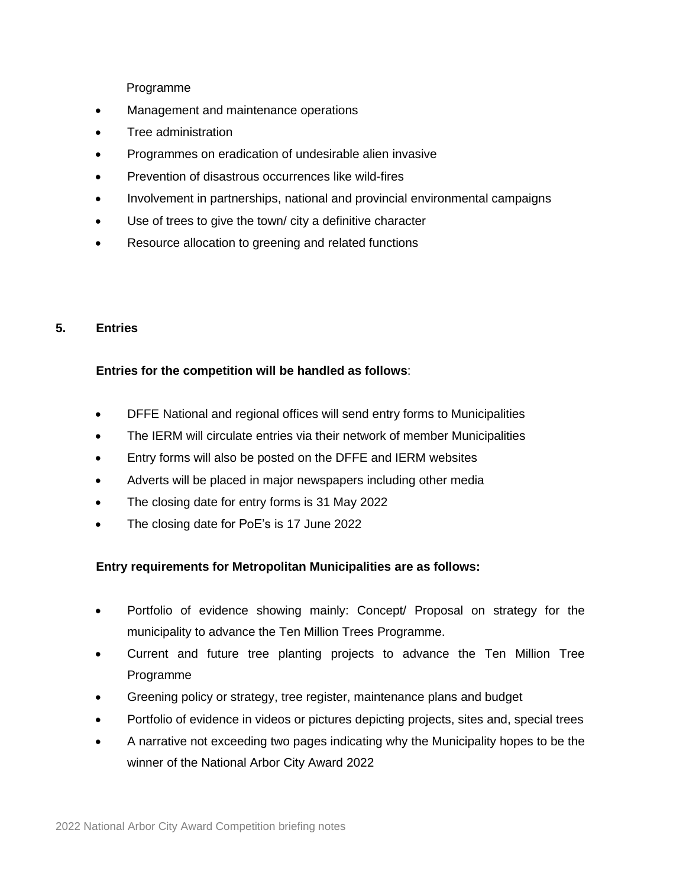Programme

- Management and maintenance operations
- Tree administration
- Programmes on eradication of undesirable alien invasive
- Prevention of disastrous occurrences like wild-fires
- Involvement in partnerships, national and provincial environmental campaigns
- Use of trees to give the town/ city a definitive character
- Resource allocation to greening and related functions

#### **5. Entries**

#### **Entries for the competition will be handled as follows**:

- DFFE National and regional offices will send entry forms to Municipalities
- The IERM will circulate entries via their network of member Municipalities
- Entry forms will also be posted on the DFFE and IERM websites
- Adverts will be placed in major newspapers including other media
- The closing date for entry forms is 31 May 2022
- The closing date for PoE's is 17 June 2022

#### **Entry requirements for Metropolitan Municipalities are as follows:**

- Portfolio of evidence showing mainly: Concept/ Proposal on strategy for the municipality to advance the Ten Million Trees Programme.
- Current and future tree planting projects to advance the Ten Million Tree Programme
- Greening policy or strategy, tree register, maintenance plans and budget
- Portfolio of evidence in videos or pictures depicting projects, sites and, special trees
- A narrative not exceeding two pages indicating why the Municipality hopes to be the winner of the National Arbor City Award 2022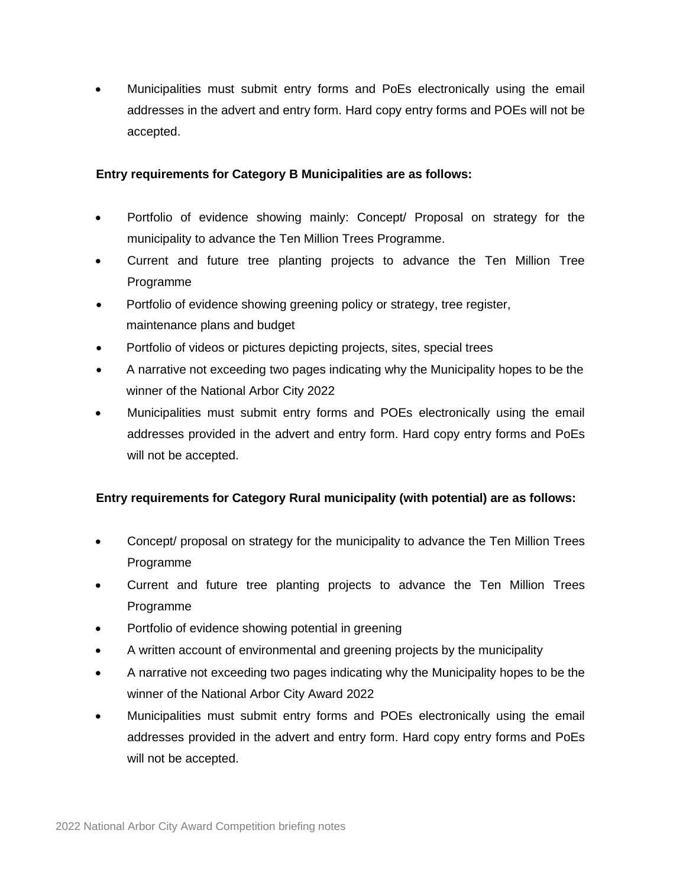• Municipalities must submit entry forms and PoEs electronically using the email addresses in the advert and entry form. Hard copy entry forms and POEs will not be accepted.

#### **Entry requirements for Category B Municipalities are as follows:**

- Portfolio of evidence showing mainly: Concept/ Proposal on strategy for the municipality to advance the Ten Million Trees Programme.
- Current and future tree planting projects to advance the Ten Million Tree Programme
- Portfolio of evidence showing greening policy or strategy, tree register, maintenance plans and budget
- Portfolio of videos or pictures depicting projects, sites, special trees
- A narrative not exceeding two pages indicating why the Municipality hopes to be the winner of the National Arbor City 2022
- Municipalities must submit entry forms and POEs electronically using the email addresses provided in the advert and entry form. Hard copy entry forms and PoEs will not be accepted.

#### **Entry requirements for Category Rural municipality (with potential) are as follows:**

- Concept/ proposal on strategy for the municipality to advance the Ten Million Trees Programme
- Current and future tree planting projects to advance the Ten Million Trees Programme
- Portfolio of evidence showing potential in greening
- A written account of environmental and greening projects by the municipality
- A narrative not exceeding two pages indicating why the Municipality hopes to be the winner of the National Arbor City Award 2022
- Municipalities must submit entry forms and POEs electronically using the email addresses provided in the advert and entry form. Hard copy entry forms and PoEs will not be accepted.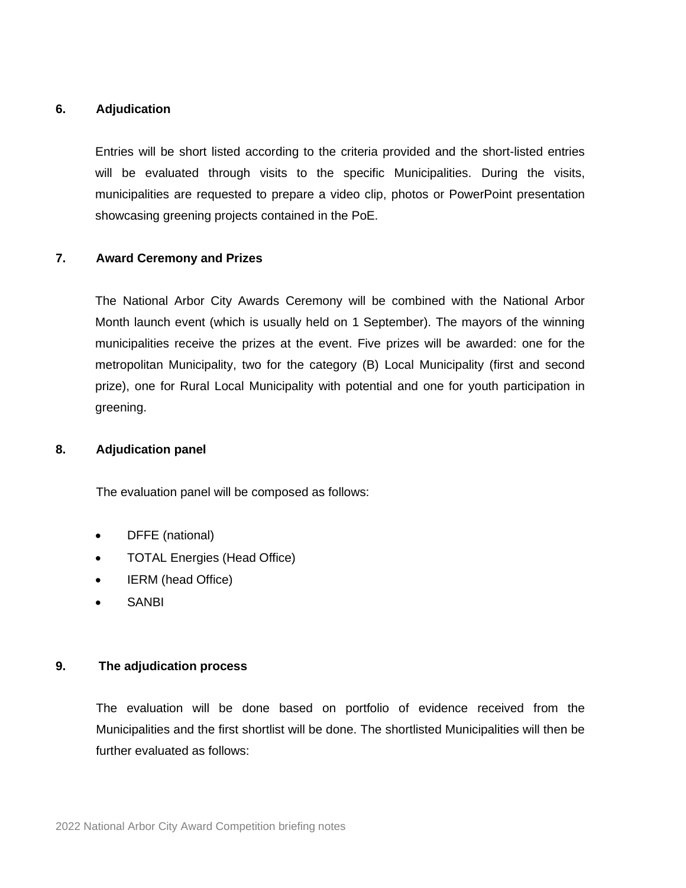#### **6. Adjudication**

Entries will be short listed according to the criteria provided and the short-listed entries will be evaluated through visits to the specific Municipalities. During the visits, municipalities are requested to prepare a video clip, photos or PowerPoint presentation showcasing greening projects contained in the PoE.

#### **7. Award Ceremony and Prizes**

The National Arbor City Awards Ceremony will be combined with the National Arbor Month launch event (which is usually held on 1 September). The mayors of the winning municipalities receive the prizes at the event. Five prizes will be awarded: one for the metropolitan Municipality, two for the category (B) Local Municipality (first and second prize), one for Rural Local Municipality with potential and one for youth participation in greening.

#### **8. Adjudication panel**

The evaluation panel will be composed as follows:

- DFFE (national)
- TOTAL Energies (Head Office)
- IERM (head Office)
- **SANBI**

#### **9. The adjudication process**

The evaluation will be done based on portfolio of evidence received from the Municipalities and the first shortlist will be done. The shortlisted Municipalities will then be further evaluated as follows: